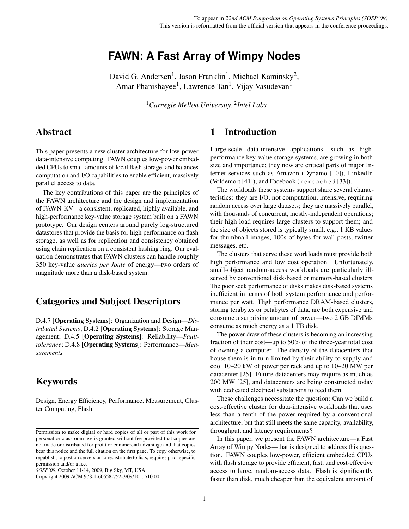# **FAWN: A Fast Array of Wimpy Nodes**

David G. Andersen<sup>1</sup>, Jason Franklin<sup>1</sup>, Michael Kaminsky<sup>2</sup>, Amar Phanishayee<sup>1</sup>, Lawrence Tan<sup>1</sup>, Vijay Vasudevan<sup>1</sup>

<sup>1</sup>*Carnegie Mellon University,* <sup>2</sup> *Intel Labs*

## Abstract

This paper presents a new cluster architecture for low-power data-intensive computing. FAWN couples low-power embedded CPUs to small amounts of local flash storage, and balances computation and I/O capabilities to enable efficient, massively parallel access to data.

The key contributions of this paper are the principles of the FAWN architecture and the design and implementation of FAWN-KV—a consistent, replicated, highly available, and high-performance key-value storage system built on a FAWN prototype. Our design centers around purely log-structured datastores that provide the basis for high performance on flash storage, as well as for replication and consistency obtained using chain replication on a consistent hashing ring. Our evaluation demonstrates that FAWN clusters can handle roughly 350 key-value *queries per Joule* of energy—two orders of magnitude more than a disk-based system.

## Categories and Subject Descriptors

D.4.7 [Operating Systems]: Organization and Design—*Distributed Systems*; D.4.2 [Operating Systems]: Storage Management; D.4.5 [Operating Systems]: Reliability—*Faulttolerance*; D.4.8 [Operating Systems]: Performance—*Measurements*

## Keywords

Design, Energy Efficiency, Performance, Measurement, Cluster Computing, Flash

*SOSP'09*, October 11-14, 2009, Big Sky, MT, USA.

Copyright 2009 ACM 978-1-60558-752-3/09/10 ...\$10.00

## 1 Introduction

Large-scale data-intensive applications, such as highperformance key-value storage systems, are growing in both size and importance; they now are critical parts of major Internet services such as Amazon (Dynamo [\[10\]](#page-15-0)), LinkedIn (Voldemort [\[41\]](#page-16-0)), and Facebook (memcached [\[33\]](#page-15-1)).

The workloads these systems support share several characteristics: they are I/O, not computation, intensive, requiring random access over large datasets; they are massively parallel, with thousands of concurrent, mostly-independent operations; their high load requires large clusters to support them; and the size of objects stored is typically small, e.g., 1 KB values for thumbnail images, 100s of bytes for wall posts, twitter messages, etc.

The clusters that serve these workloads must provide both high performance and low cost operation. Unfortunately, small-object random-access workloads are particularly illserved by conventional disk-based or memory-based clusters. The poor seek performance of disks makes disk-based systems inefficient in terms of both system performance and performance per watt. High performance DRAM-based clusters, storing terabytes or petabytes of data, are both expensive and consume a surprising amount of power—two 2 GB DIMMs consume as much energy as a 1 TB disk.

The power draw of these clusters is becoming an increasing fraction of their cost—up to 50% of the three-year total cost of owning a computer. The density of the datacenters that house them is in turn limited by their ability to supply and cool 10–20 kW of power per rack and up to 10–20 MW per datacenter [\[25\]](#page-15-2). Future datacenters may require as much as 200 MW [\[25\]](#page-15-2), and datacenters are being constructed today with dedicated electrical substations to feed them.

These challenges necessitate the question: Can we build a cost-effective cluster for data-intensive workloads that uses less than a tenth of the power required by a conventional architecture, but that still meets the same capacity, availability, throughput, and latency requirements?

In this paper, we present the FAWN architecture—a Fast Array of Wimpy Nodes—that is designed to address this question. FAWN couples low-power, efficient embedded CPUs with flash storage to provide efficient, fast, and cost-effective access to large, random-access data. Flash is significantly faster than disk, much cheaper than the equivalent amount of

Permission to make digital or hard copies of all or part of this work for personal or classroom use is granted without fee provided that copies are not made or distributed for profit or commercial advantage and that copies bear this notice and the full citation on the first page. To copy otherwise, to republish, to post on servers or to redistribute to lists, requires prior specific permission and/or a fee.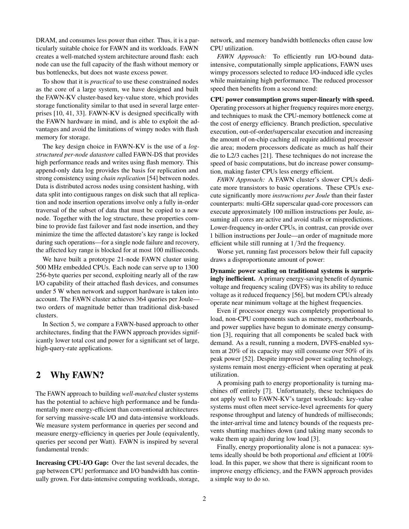DRAM, and consumes less power than either. Thus, it is a particularly suitable choice for FAWN and its workloads. FAWN creates a well-matched system architecture around flash: each node can use the full capacity of the flash without memory or bus bottlenecks, but does not waste excess power.

To show that it is *practical* to use these constrained nodes as the core of a large system, we have designed and built the FAWN-KV cluster-based key-value store, which provides storage functionality similar to that used in several large enterprises [\[10,](#page-15-0) [41,](#page-16-0) [33\]](#page-15-1). FAWN-KV is designed specifically with the FAWN hardware in mind, and is able to exploit the advantages and avoid the limitations of wimpy nodes with flash memory for storage.

The key design choice in FAWN-KV is the use of a *logstructured per-node datastore* called FAWN-DS that provides high performance reads and writes using flash memory. This append-only data log provides the basis for replication and strong consistency using *chain replication* [\[54\]](#page-16-1) between nodes. Data is distributed across nodes using consistent hashing, with data split into contiguous ranges on disk such that all replication and node insertion operations involve only a fully in-order traversal of the subset of data that must be copied to a new node. Together with the log structure, these properties combine to provide fast failover and fast node insertion, and they minimize the time the affected datastore's key range is locked during such operations—for a single node failure and recovery, the affected key range is blocked for at most 100 milliseconds.

We have built a prototype 21-node FAWN cluster using 500 MHz embedded CPUs. Each node can serve up to 1300 256-byte queries per second, exploiting nearly all of the raw I/O capability of their attached flash devices, and consumes under 5 W when network and support hardware is taken into account. The FAWN cluster achieves 364 queries per Joule two orders of magnitude better than traditional disk-based clusters.

In Section [5,](#page-11-0) we compare a FAWN-based approach to other architectures, finding that the FAWN approach provides significantly lower total cost and power for a significant set of large, high-query-rate applications.

## 2 Why FAWN?

The FAWN approach to building *well-matched* cluster systems has the potential to achieve high performance and be fundamentally more energy-efficient than conventional architectures for serving massive-scale I/O and data-intensive workloads. We measure system performance in queries per second and measure energy-efficiency in queries per Joule (equivalently, queries per second per Watt). FAWN is inspired by several fundamental trends:

Increasing CPU-I/O Gap: Over the last several decades, the gap between CPU performance and I/O bandwidth has continually grown. For data-intensive computing workloads, storage, network, and memory bandwidth bottlenecks often cause low CPU utilization.

*FAWN Approach:* To efficiently run I/O-bound dataintensive, computationally simple applications, FAWN uses wimpy processors selected to reduce I/O-induced idle cycles while maintaining high performance. The reduced processor speed then benefits from a second trend:

CPU power consumption grows super-linearly with speed. Operating processors at higher frequency requires more energy, and techniques to mask the CPU-memory bottleneck come at the cost of energy efficiency. Branch prediction, speculative execution, out-of-order/superscalar execution and increasing the amount of on-chip caching all require additional processor die area; modern processors dedicate as much as half their die to L2/3 caches [\[21\]](#page-15-3). These techniques do not increase the speed of basic computations, but do increase power consumption, making faster CPUs less energy efficient.

*FAWN Approach:* A FAWN cluster's slower CPUs dedicate more transistors to basic operations. These CPUs execute significantly more *instructions per Joule* than their faster counterparts: multi-GHz superscalar quad-core processors can execute approximately 100 million instructions per Joule, assuming all cores are active and avoid stalls or mispredictions. Lower-frequency in-order CPUs, in contrast, can provide over 1 billion instructions per Joule—an order of magnitude more efficient while still running at 1/3rd the frequency.

Worse yet, running fast processors below their full capacity draws a disproportionate amount of power:

Dynamic power scaling on traditional systems is surprisingly inefficient. A primary energy-saving benefit of dynamic voltage and frequency scaling (DVFS) was its ability to reduce voltage as it reduced frequency [\[56\]](#page-16-2), but modern CPUs already operate near minimum voltage at the highest frequencies.

Even if processor energy was completely proportional to load, non-CPU components such as memory, motherboards, and power supplies have begun to dominate energy consumption [\[3\]](#page-15-4), requiring that all components be scaled back with demand. As a result, running a modern, DVFS-enabled system at 20% of its capacity may still consume over 50% of its peak power [\[52\]](#page-16-3). Despite improved power scaling technology, systems remain most energy-efficient when operating at peak utilization.

A promising path to energy proportionality is turning machines off entirely [\[7\]](#page-15-5). Unfortunately, these techniques do not apply well to FAWN-KV's target workloads: key-value systems must often meet service-level agreements for query response throughput and latency of hundreds of milliseconds; the inter-arrival time and latency bounds of the requests prevents shutting machines down (and taking many seconds to wake them up again) during low load [\[3\]](#page-15-4).

Finally, energy proportionality alone is not a panacea: systems ideally should be both proportional *and* efficient at 100% load. In this paper, we show that there is significant room to improve energy efficiency, and the FAWN approach provides a simple way to do so.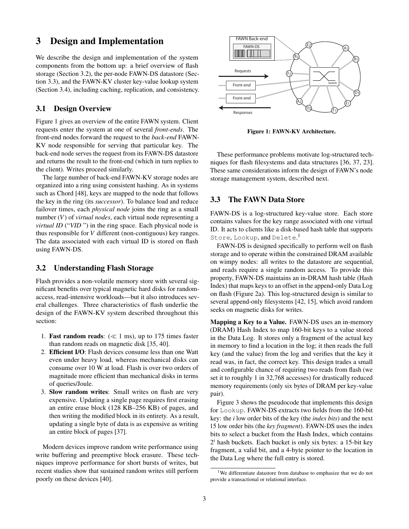### 3 Design and Implementation

We describe the design and implementation of the system components from the bottom up: a brief overview of flash storage (Section [3.2\)](#page-2-0), the per-node FAWN-DS datastore (Section [3.3\)](#page-2-1), and the FAWN-KV cluster key-value lookup system (Section [3.4\)](#page-4-0), including caching, replication, and consistency.

### 3.1 Design Overview

Figure [1](#page-2-2) gives an overview of the entire FAWN system. Client requests enter the system at one of several *front-ends*. The front-end nodes forward the request to the *back-end* FAWN-KV node responsible for serving that particular key. The back-end node serves the request from its FAWN-DS datastore and returns the result to the front-end (which in turn replies to the client). Writes proceed similarly.

The large number of back-end FAWN-KV storage nodes are organized into a ring using consistent hashing. As in systems such as Chord [\[48\]](#page-16-4), keys are mapped to the node that follows the key in the ring (its *successor*). To balance load and reduce failover times, each *physical node* joins the ring as a small number (*V*) of *virtual nodes*, each virtual node representing a *virtual ID* ("*VID*") in the ring space. Each physical node is thus responsible for *V* different (non-contiguous) key ranges. The data associated with each virtual ID is stored on flash using FAWN-DS.

### <span id="page-2-0"></span>3.2 Understanding Flash Storage

Flash provides a non-volatile memory store with several significant benefits over typical magnetic hard disks for randomaccess, read-intensive workloads—but it also introduces several challenges. Three characteristics of flash underlie the design of the FAWN-KV system described throughout this section:

- 1. **Fast random reads:**  $(\ll 1 \text{ ms})$ , up to 175 times faster than random reads on magnetic disk [\[35,](#page-15-6) [40\]](#page-16-5).
- 2. Efficient I/O: Flash devices consume less than one Watt even under heavy load, whereas mechanical disks can consume over 10 W at load. Flash is over two orders of magnitude more efficient than mechanical disks in terms of queries/Joule.
- 3. Slow random writes: Small writes on flash are very expensive. Updating a single page requires first erasing an entire erase block (128 KB–256 KB) of pages, and then writing the modified block in its entirety. As a result, updating a single byte of data is as expensive as writing an entire block of pages [\[37\]](#page-16-6).

Modern devices improve random write performance using write buffering and preemptive block erasure. These techniques improve performance for short bursts of writes, but recent studies show that sustained random writes still perform poorly on these devices [\[40\]](#page-16-5).



Figure 1: FAWN-KV Architecture.

<span id="page-2-2"></span>These performance problems motivate log-structured techniques for flash filesystems and data structures [\[36,](#page-15-7) [37,](#page-16-6) [23\]](#page-15-8). These same considerations inform the design of FAWN's node storage management system, described next.

### <span id="page-2-1"></span>3.3 The FAWN Data Store

FAWN-DS is a log-structured key-value store. Each store contains values for the key range associated with one virtual ID. It acts to clients like a disk-based hash table that supports Store, Lookup, and Delete. [1](#page-2-3)

FAWN-DS is designed specifically to perform well on flash storage and to operate within the constrained DRAM available on wimpy nodes: all writes to the datastore are sequential, and reads require a single random access. To provide this property, FAWN-DS maintains an in-DRAM hash table (Hash Index) that maps keys to an offset in the append-only Data Log on flash (Figure [2a](#page-3-0)). This log-structured design is similar to several append-only filesystems [\[42,](#page-16-7) [15\]](#page-15-9), which avoid random seeks on magnetic disks for writes.

Mapping a Key to a Value. FAWN-DS uses an in-memory (DRAM) Hash Index to map 160-bit keys to a value stored in the Data Log. It stores only a fragment of the actual key in memory to find a location in the log; it then reads the full key (and the value) from the log and verifies that the key it read was, in fact, the correct key. This design trades a small and configurable chance of requiring two reads from flash (we set it to roughly 1 in 32,768 accesses) for drastically reduced memory requirements (only six bytes of DRAM per key-value pair).

Figure [3](#page-3-1) shows the pseudocode that implements this design for Lookup. FAWN-DS extracts two fields from the 160-bit key: the *i* low order bits of the key (the *index bits*) and the next 15 low order bits (the *key fragment*). FAWN-DS uses the index bits to select a bucket from the Hash Index, which contains  $2<sup>i</sup>$  hash buckets. Each bucket is only six bytes: a 15-bit key fragment, a valid bit, and a 4-byte pointer to the location in the Data Log where the full entry is stored.

<span id="page-2-3"></span><sup>&</sup>lt;sup>1</sup>We differentiate datastore from database to emphasize that we do not provide a transactional or relational interface.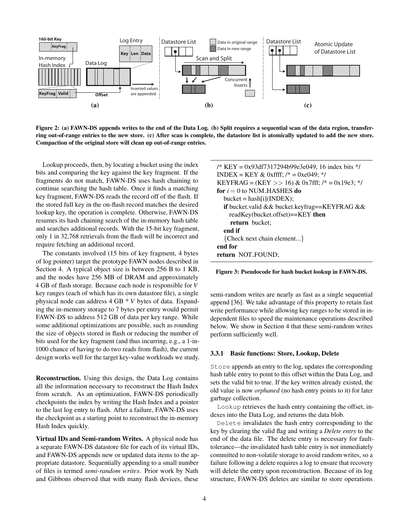

<span id="page-3-0"></span>Figure 2: (a) FAWN-DS appends writes to the end of the Data Log. (b) Split requires a sequential scan of the data region, transferring out-of-range entries to the new store. (c) After scan is complete, the datastore list is atomically updated to add the new store. Compaction of the original store will clean up out-of-range entries.

Lookup proceeds, then, by locating a bucket using the index bits and comparing the key against the key fragment. If the fragments do not match, FAWN-DS uses hash chaining to continue searching the hash table. Once it finds a matching key fragment, FAWN-DS reads the record off of the flash. If the stored full key in the on-flash record matches the desired lookup key, the operation is complete. Otherwise, FAWN-DS resumes its hash chaining search of the in-memory hash table and searches additional records. With the 15-bit key fragment, only 1 in 32,768 retrievals from the flash will be incorrect and require fetching an additional record.

The constants involved (15 bits of key fragment, 4 bytes of log pointer) target the prototype FAWN nodes described in Section [4.](#page-7-0) A typical object size is between 256 B to 1 KB, and the nodes have 256 MB of DRAM and approximately 4 GB of flash storage. Because each node is responsible for *V* key ranges (each of which has its own datastore file), a single physical node can address 4 GB \* *V* bytes of data. Expanding the in-memory storage to 7 bytes per entry would permit FAWN-DS to address 512 GB of data per key range. While some additional optimizations are possible, such as rounding the size of objects stored in flash or reducing the number of bits used for the key fragment (and thus incurring, e.g., a 1-in-1000 chance of having to do two reads from flash), the current design works well for the target key-value workloads we study.

Reconstruction. Using this design, the Data Log contains all the information necessary to reconstruct the Hash Index from scratch. As an optimization, FAWN-DS periodically checkpoints the index by writing the Hash Index and a pointer to the last log entry to flash. After a failure, FAWN-DS uses the checkpoint as a starting point to reconstruct the in-memory Hash Index quickly.

Virtual IDs and Semi-random Writes. A physical node has a separate FAWN-DS datastore file for each of its virtual IDs, and FAWN-DS appends new or updated data items to the appropriate datastore. Sequentially appending to a small number of files is termed *semi-random writes*. Prior work by Nath and Gibbons observed that with many flash devices, these

| /* KEY = 0x93df7317294b99e3e049, 16 index bits $*/$         |
|-------------------------------------------------------------|
| INDEX = KEY & 0xffff; $\frac{1}{2}$ = 0xe049; $\frac{1}{2}$ |
| KEYFRAG = (KEY >> 16) & 0x7fff; $/* = 0x19e3$ ; */          |
| for $i = 0$ to NUM HASHES do                                |
| $bucket = hash[i](INDEX);$                                  |
| <b>if</b> bucket.valid && bucket.keyfrag==KEYFRAG &&        |
| readKey(bucket.offset)==KEY then                            |
| return bucket:                                              |
| end if                                                      |
| {Check next chain element}                                  |
| end for                                                     |
| return NOT_FOUND;                                           |

<span id="page-3-1"></span>Figure 3: Pseudocode for hash bucket lookup in FAWN-DS.

semi-random writes are nearly as fast as a single sequential append [\[36\]](#page-15-7). We take advantage of this property to retain fast write performance while allowing key ranges to be stored in independent files to speed the maintenance operations described below. We show in Section [4](#page-7-1) that these semi-random writes perform sufficiently well.

#### 3.3.1 Basic functions: Store, Lookup, Delete

Store appends an entry to the log, updates the corresponding hash table entry to point to this offset within the Data Log, and sets the valid bit to true. If the key written already existed, the old value is now *orphaned* (no hash entry points to it) for later garbage collection.

Lookup retrieves the hash entry containing the offset, indexes into the Data Log, and returns the data blob.

Delete invalidates the hash entry corresponding to the key by clearing the valid flag and writing a *Delete entry* to the end of the data file. The delete entry is necessary for faulttolerance—the invalidated hash table entry is not immediately committed to non-volatile storage to avoid random writes, so a failure following a delete requires a log to ensure that recovery will delete the entry upon reconstruction. Because of its log structure, FAWN-DS deletes are similar to store operations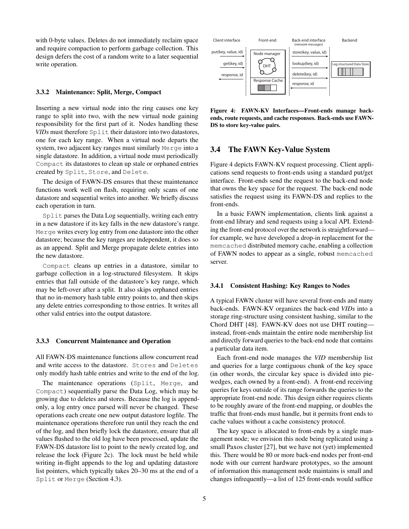with 0-byte values. Deletes do not immediately reclaim space and require compaction to perform garbage collection. This design defers the cost of a random write to a later sequential write operation.

### 3.3.2 Maintenance: Split, Merge, Compact

Inserting a new virtual node into the ring causes one key range to split into two, with the new virtual node gaining responsibility for the first part of it. Nodes handling these *VIDs* must therefore Split their datastore into two datastores, one for each key range. When a virtual node departs the system, two adjacent key ranges must similarly Merge into a single datastore. In addition, a virtual node must periodically Compact its datastores to clean up stale or orphaned entries created by Split, Store, and Delete.

The design of FAWN-DS ensures that these maintenance functions work well on flash, requiring only scans of one datastore and sequential writes into another. We briefly discuss each operation in turn.

Split parses the Data Log sequentially, writing each entry in a new datastore if its key falls in the new datastore's range. Merge writes every log entry from one datastore into the other datastore; because the key ranges are independent, it does so as an append. Split and Merge propagate delete entries into the new datastore.

Compact cleans up entries in a datastore, similar to garbage collection in a log-structured filesystem. It skips entries that fall outside of the datastore's key range, which may be left-over after a split. It also skips orphaned entries that no in-memory hash table entry points to, and then skips any delete entries corresponding to those entries. It writes all other valid entries into the output datastore.

#### 3.3.3 Concurrent Maintenance and Operation

All FAWN-DS maintenance functions allow concurrent read and write access to the datastore. Stores and Deletes only modify hash table entries and write to the end of the log.

The maintenance operations (Split, Merge, and Compact) sequentially parse the Data Log, which may be growing due to deletes and stores. Because the log is appendonly, a log entry once parsed will never be changed. These operations each create one new output datastore logfile. The maintenance operations therefore run until they reach the end of the log, and then briefly lock the datastore, ensure that all values flushed to the old log have been processed, update the FAWN-DS datastore list to point to the newly created log, and release the lock (Figure [2c](#page-3-0)). The lock must be held while writing in-flight appends to the log and updating datastore list pointers, which typically takes 20–30 ms at the end of a Split or Merge (Section [4.3\)](#page-10-0).



<span id="page-4-1"></span>Figure 4: FAWN-KV Interfaces—Front-ends manage backends, route requests, and cache responses. Back-ends use FAWN-DS to store key-value pairs.

### <span id="page-4-0"></span>3.4 The FAWN Key-Value System

Figure [4](#page-4-1) depicts FAWN-KV request processing. Client applications send requests to front-ends using a standard put/get interface. Front-ends send the request to the back-end node that owns the key space for the request. The back-end node satisfies the request using its FAWN-DS and replies to the front-ends.

In a basic FAWN implementation, clients link against a front-end library and send requests using a local API. Extending the front-end protocol over the network is straightforward for example, we have developed a drop-in replacement for the memcached distributed memory cache, enabling a collection of FAWN nodes to appear as a single, robust memcached server.

#### 3.4.1 Consistent Hashing: Key Ranges to Nodes

A typical FAWN cluster will have several front-ends and many back-ends. FAWN-KV organizes the back-end *VIDs* into a storage ring-structure using consistent hashing, similar to the Chord DHT [\[48\]](#page-16-4). FAWN-KV does not use DHT routing instead, front-ends maintain the entire node membership list and directly forward queries to the back-end node that contains a particular data item.

Each front-end node manages the *VID* membership list and queries for a large contiguous chunk of the key space (in other words, the circular key space is divided into piewedges, each owned by a front-end). A front-end receiving queries for keys outside of its range forwards the queries to the appropriate front-end node. This design either requires clients to be roughly aware of the front-end mapping, or doubles the traffic that front-ends must handle, but it permits front ends to cache values without a cache consistency protocol.

The key space is allocated to front-ends by a single management node; we envision this node being replicated using a small Paxos cluster [\[27\]](#page-15-10), but we have not (yet) implemented this. There would be 80 or more back-end nodes per front-end node with our current hardware prototypes, so the amount of information this management node maintains is small and changes infrequently—a list of 125 front-ends would suffice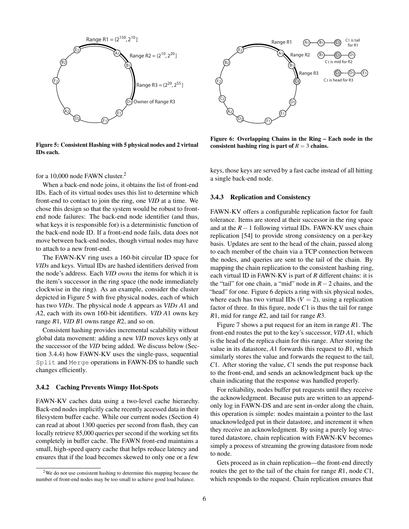

<span id="page-5-1"></span>Figure 5: Consistent Hashing with 5 physical nodes and 2 virtual IDs each.



<span id="page-5-2"></span>Figure 6: Overlapping Chains in the Ring – Each node in the consistent hashing ring is part of  $R = 3$  chains.

for a 10,000 node FAWN cluster.[2](#page-5-0)

When a back-end node joins, it obtains the list of front-end IDs. Each of its virtual nodes uses this list to determine which front-end to contact to join the ring, one *VID* at a time. We chose this design so that the system would be robust to frontend node failures: The back-end node identifier (and thus, what keys it is responsible for) is a deterministic function of the back-end node ID. If a front-end node fails, data does not move between back-end nodes, though virtual nodes may have to attach to a new front-end.

The FAWN-KV ring uses a 160-bit circular ID space for *VIDs* and keys. Virtual IDs are hashed identifiers derived from the node's address. Each *VID owns* the items for which it is the item's successor in the ring space (the node immediately clockwise in the ring). As an example, consider the cluster depicted in Figure [5](#page-5-1) with five physical nodes, each of which has two *VIDs*. The physical node *A* appears as *VIDs A*1 and *A*2, each with its own 160-bit identifiers. *VID A*1 owns key range *R*1, *VID B*1 owns range *R*2, and so on.

Consistent hashing provides incremental scalability without global data movement: adding a new *VID* moves keys only at the successor of the *VID* being added. We discuss below (Section [3.4.4\)](#page-6-0) how FAWN-KV uses the single-pass, sequential Split and Merge operations in FAWN-DS to handle such changes efficiently.

#### 3.4.2 Caching Prevents Wimpy Hot-Spots

FAWN-KV caches data using a two-level cache hierarchy. Back-end nodes implicitly cache recently accessed data in their filesystem buffer cache. While our current nodes (Section [4\)](#page-7-1) can read at about 1300 queries per second from flash, they can locally retrieve 85,000 queries per second if the working set fits completely in buffer cache. The FAWN front-end maintains a small, high-speed query cache that helps reduce latency and ensures that if the load becomes skewed to only one or a few

keys, those keys are served by a fast cache instead of all hitting a single back-end node.

#### 3.4.3 Replication and Consistency

FAWN-KV offers a configurable replication factor for fault tolerance. Items are stored at their successor in the ring space and at the *R*−1 following virtual IDs. FAWN-KV uses chain replication [\[54\]](#page-16-1) to provide strong consistency on a per-key basis. Updates are sent to the head of the chain, passed along to each member of the chain via a TCP connection between the nodes, and queries are sent to the tail of the chain. By mapping the chain replication to the consistent hashing ring, each virtual ID in FAWN-KV is part of *R* different chains: it is the "tail" for one chain, a "mid" node in *R*−2 chains, and the "head" for one. Figure [6](#page-5-2) depicts a ring with six physical nodes, where each has two virtual IDs  $(V = 2)$ , using a replication factor of three. In this figure, node *C*1 is thus the tail for range *R*1, mid for range *R*2, and tail for range *R*3.

Figure [7](#page-6-1) shows a put request for an item in range *R*1. The front-end routes the put to the key's successor, *VID A*1, which is the head of the replica chain for this range. After storing the value in its datastore, *A*1 forwards this request to *B*1, which similarly stores the value and forwards the request to the tail, *C*1. After storing the value, *C*1 sends the put response back to the front-end, and sends an acknowledgment back up the chain indicating that the response was handled properly.

For reliability, nodes buffer put requests until they receive the acknowledgment. Because puts are written to an appendonly log in FAWN-DS and are sent in-order along the chain, this operation is simple: nodes maintain a pointer to the last unacknowledged put in their datastore, and increment it when they receive an acknowledgment. By using a purely log structured datastore, chain replication with FAWN-KV becomes simply a process of streaming the growing datastore from node to node.

Gets proceed as in chain replication—the front-end directly routes the get to the tail of the chain for range *R*1, node *C*1, which responds to the request. Chain replication ensures that

<span id="page-5-0"></span><sup>2</sup>We do not use consistent hashing to determine this mapping because the number of front-end nodes may be too small to achieve good load balance.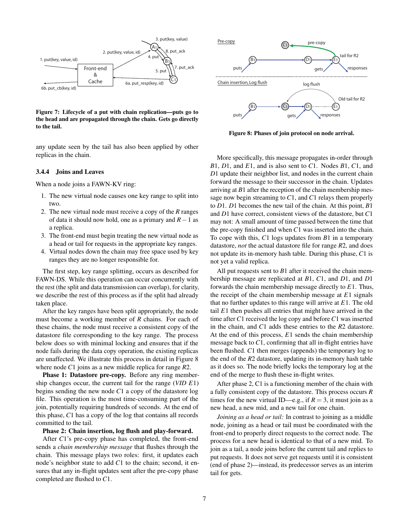

<span id="page-6-1"></span>Figure 7: Lifecycle of a put with chain replication—puts go to the head and are propagated through the chain. Gets go directly to the tail.

any update seen by the tail has also been applied by other replicas in the chain.

#### <span id="page-6-0"></span>3.4.4 Joins and Leaves

When a node joins a FAWN-KV ring:

- 1. The new virtual node causes one key range to split into two.
- 2. The new virtual node must receive a copy of the *R* ranges of data it should now hold, one as a primary and *R*−1 as a replica.
- 3. The front-end must begin treating the new virtual node as a head or tail for requests in the appropriate key ranges.
- 4. Virtual nodes down the chain may free space used by key ranges they are no longer responsible for.

The first step, key range splitting, occurs as described for FAWN-DS. While this operation can occur concurrently with the rest (the split and data transmission can overlap), for clarity, we describe the rest of this process as if the split had already taken place.

After the key ranges have been split appropriately, the node must become a working member of *R* chains. For each of these chains, the node must receive a consistent copy of the datastore file corresponding to the key range. The process below does so with minimal locking and ensures that if the node fails during the data copy operation, the existing replicas are unaffected. We illustrate this process in detail in Figure [8](#page-6-2) where node *C*1 joins as a new middle replica for range *R*2.

Phase 1: Datastore pre-copy. Before any ring membership changes occur, the current tail for the range (*VID E*1) begins sending the new node *C*1 a copy of the datastore log file. This operation is the most time-consuming part of the join, potentially requiring hundreds of seconds. At the end of this phase, *C*1 has a copy of the log that contains all records committed to the tail.

#### Phase 2: Chain insertion, log flush and play-forward.

After *C*1's pre-copy phase has completed, the front-end sends a *chain membership message* that flushes through the chain. This message plays two roles: first, it updates each node's neighbor state to add *C*1 to the chain; second, it ensures that any in-flight updates sent after the pre-copy phase completed are flushed to *C*1.



<span id="page-6-2"></span>Figure 8: Phases of join protocol on node arrival.

More specifically, this message propagates in-order through *B*1, *D*1, and *E*1, and is also sent to *C*1. Nodes *B*1, *C*1, and *D*1 update their neighbor list, and nodes in the current chain forward the message to their successor in the chain. Updates arriving at *B*1 after the reception of the chain membership message now begin streaming to *C*1, and *C*1 relays them properly to *D*1. *D*1 becomes the new tail of the chain. At this point, *B*1 and *D*1 have correct, consistent views of the datastore, but *C*1 may not: A small amount of time passed between the time that the pre-copy finished and when *C*1 was inserted into the chain. To cope with this, *C*1 logs updates from *B*1 in a temporary datastore, *not* the actual datastore file for range *R*2, and does not update its in-memory hash table. During this phase, *C*1 is not yet a valid replica.

All put requests sent to *B*1 after it received the chain membership message are replicated at *B*1, *C*1, and *D*1, and *D*1 forwards the chain membership message directly to *E*1. Thus, the receipt of the chain membership message at *E*1 signals that no further updates to this range will arrive at *E*1. The old tail *E*1 then pushes all entries that might have arrived in the time after *C*1 received the log copy and before *C*1 was inserted in the chain, and *C*1 adds these entries to the *R*2 datastore. At the end of this process, *E*1 sends the chain membership message back to *C*1, confirming that all in-flight entries have been flushed. *C*1 then merges (appends) the temporary log to the end of the *R*2 datastore, updating its in-memory hash table as it does so. The node briefly locks the temporary log at the end of the merge to flush these in-flight writes.

After phase 2, C1 is a functioning member of the chain with a fully consistent copy of the datastore. This process occurs *R* times for the new virtual ID—e.g., if  $R = 3$ , it must join as a new head, a new mid, and a new tail for one chain.

*Joining as a head or tail:* In contrast to joining as a middle node, joining as a head or tail must be coordinated with the front-end to properly direct requests to the correct node. The process for a new head is identical to that of a new mid. To join as a tail, a node joins before the current tail and replies to put requests. It does not serve get requests until it is consistent (end of phase 2)—instead, its predecessor serves as an interim tail for gets.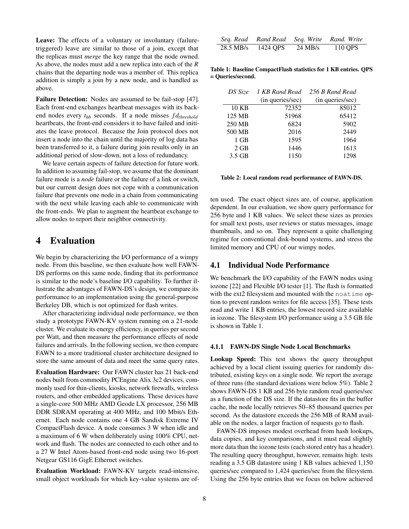Leave: The effects of a voluntary or involuntary (failuretriggered) leave are similar to those of a join, except that the replicas must *merge* the key range that the node owned. As above, the nodes must add a new replica into each of the *R* chains that the departing node was a member of. This replica addition is simply a join by a new node, and is handled as above.

Failure Detection: Nodes are assumed to be fail-stop [\[47\]](#page-16-8). Each front-end exchanges heartbeat messages with its backend nodes every *thb* seconds. If a node misses *f dthreshold* heartbeats, the front-end considers it to have failed and initiates the leave protocol. Because the Join protocol does not insert a node into the chain until the majority of log data has been transferred to it, a failure during join results only in an additional period of slow-down, not a loss of redundancy.

We leave certain aspects of failure detection for future work. In addition to assuming fail-stop, we assume that the dominant failure mode is a *node* failure or the failure of a link or switch, but our current design does not cope with a communication failure that prevents one node in a chain from communicating with the next while leaving each able to communicate with the front-ends. We plan to augment the heartbeat exchange to allow nodes to report their neighbor connectivity.

### <span id="page-7-1"></span>4 Evaluation

We begin by characterizing the I/O performance of a wimpy node. From this baseline, we then evaluate how well FAWN-DS performs on this same node, finding that its performance is similar to the node's baseline I/O capability. To further illustrate the advantages of FAWN-DS's design, we compare its performance to an implementation using the general-purpose Berkeley DB, which is not optimized for flash writes.

After characterizing individual node performance, we then study a prototype FAWN-KV system running on a 21-node cluster. We evaluate its energy efficiency, in queries per second per Watt, and then measure the performance effects of node failures and arrivals. In the following section, we then compare FAWN to a more traditional cluster architecture designed to store the same amount of data and meet the same query rates.

<span id="page-7-0"></span>Evaluation Hardware: Our FAWN cluster has 21 back-end nodes built from commodity PCEngine Alix 3c2 devices, commonly used for thin-clients, kiosks, network firewalls, wireless routers, and other embedded applications. These devices have a single-core 500 MHz AMD Geode LX processor, 256 MB DDR SDRAM operating at 400 MHz, and 100 Mbit/s Ethernet. Each node contains one 4 GB Sandisk Extreme IV CompactFlash device. A node consumes 3 W when idle and a maximum of 6 W when deliberately using 100% CPU, network and flash. The nodes are connected to each other and to a 27 W Intel Atom-based front-end node using two 16-port Netgear GS116 GigE Ethernet switches.

Evaluation Workload: FAWN-KV targets read-intensive, small object workloads for which key-value systems are of-

| Seq. Read | Rand Read |                   | Seq. Write Rand. Write |
|-----------|-----------|-------------------|------------------------|
| 28.5 MB/s | 1424 OPS  | $24 \text{ MB/s}$ | 110 QPS                |

<span id="page-7-2"></span>Table 1: Baseline CompactFlash statistics for 1 KB entries. QPS = Queries/second.

| DS Size | 256 B Rand Read<br>1 KB Rand Read |                  |  |
|---------|-----------------------------------|------------------|--|
|         | (in queries/sec)                  | (in queries/sec) |  |
| 10 KB   | 72352                             | 85012            |  |
| 125 MB  | 51968                             | 65412            |  |
| 250 MB  | 6824                              | 5902             |  |
| 500 MB  | 2016                              | 2449             |  |
| 1 GB    | 1595                              | 1964             |  |
| $2$ GB  | 1446                              | 1613             |  |
| 3.5 GB  | 1150                              | 1298             |  |

<span id="page-7-3"></span>Table 2: Local random read performance of FAWN-DS.

ten used. The exact object sizes are, of course, application dependent. In our evaluation, we show query performance for 256 byte and 1 KB values. We select these sizes as proxies for small text posts, user reviews or status messages, image thumbnails, and so on. They represent a quite challenging regime for conventional disk-bound systems, and stress the limited memory and CPU of our wimpy nodes.

### 4.1 Individual Node Performance

We benchmark the I/O capability of the FAWN nodes using iozone [\[22\]](#page-15-11) and Flexible I/O tester [\[1\]](#page-15-12). The flash is formatted with the ext2 filesystem and mounted with the noatime option to prevent random writes for file access [\[35\]](#page-15-6). These tests read and write 1 KB entries, the lowest record size available in iozone. The filesystem I/O performance using a 3.5 GB file is shown in Table [1.](#page-7-2)

#### 4.1.1 FAWN-DS Single Node Local Benchmarks

Lookup Speed: This test shows the query throughput achieved by a local client issuing queries for randomly distributed, existing keys on a single node. We report the average of three runs (the standard deviations were below 5%). Table [2](#page-7-3) shows FAWN-DS 1 KB and 256 byte random read queries/sec as a function of the DS size. If the datastore fits in the buffer cache, the node locally retrieves 50–85 thousand queries per second. As the datastore exceeds the 256 MB of RAM available on the nodes, a larger fraction of requests go to flash.

FAWN-DS imposes modest overhead from hash lookups, data copies, and key comparisons, and it must read slightly more data than the iozone tests (each stored entry has a header). The resulting query throughput, however, remains high: tests reading a 3.5 GB datastore using 1 KB values achieved 1,150 queries/sec compared to 1,424 queries/sec from the filesystem. Using the 256 byte entries that we focus on below achieved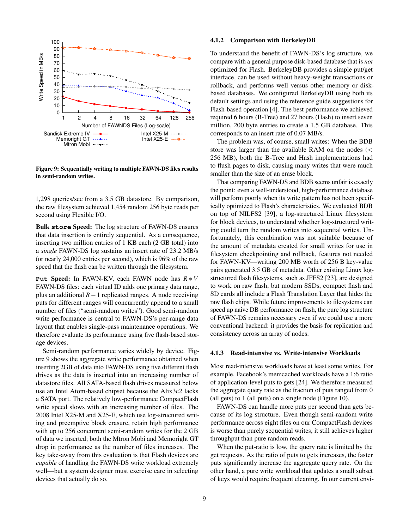

<span id="page-8-0"></span>Figure 9: Sequentially writing to multiple FAWN-DS files results in semi-random writes.

1,298 queries/sec from a 3.5 GB datastore. By comparison, the raw filesystem achieved 1,454 random 256 byte reads per second using Flexible I/O.

Bulk **store** Speed: The log structure of FAWN-DS ensures that data insertion is entirely sequential. As a consequence, inserting two million entries of 1 KB each (2 GB total) into a *single* FAWN-DS log sustains an insert rate of 23.2 MB/s (or nearly 24,000 entries per second), which is 96% of the raw speed that the flash can be written through the filesystem.

**Put** Speed: In FAWN-KV, each FAWN node has *R* ∗ *V* FAWN-DS files: each virtual ID adds one primary data range, plus an additional *R*−1 replicated ranges. A node receiving puts for different ranges will concurrently append to a small number of files ("semi-random writes"). Good semi-random write performance is central to FAWN-DS's per-range data layout that enables single-pass maintenance operations. We therefore evaluate its performance using five flash-based storage devices.

Semi-random performance varies widely by device. Figure [9](#page-8-0) shows the aggregate write performance obtained when inserting 2GB of data into FAWN-DS using five different flash drives as the data is inserted into an increasing number of datastore files. All SATA-based flash drives measured below use an Intel Atom-based chipset because the Alix3c2 lacks a SATA port. The relatively low-performance CompactFlash write speed slows with an increasing number of files. The 2008 Intel X25-M and X25-E, which use log-structured writing and preemptive block erasure, retain high performance with up to 256 concurrent semi-random writes for the 2 GB of data we inserted; both the Mtron Mobi and Memoright GT drop in performance as the number of files increases. The key take-away from this evaluation is that Flash devices are *capable* of handling the FAWN-DS write workload extremely well—but a system designer must exercise care in selecting devices that actually do so.

#### 4.1.2 Comparison with BerkeleyDB

To understand the benefit of FAWN-DS's log structure, we compare with a general purpose disk-based database that is *not* optimized for Flash. BerkeleyDB provides a simple put/get interface, can be used without heavy-weight transactions or rollback, and performs well versus other memory or diskbased databases. We configured BerkeleyDB using both its default settings and using the reference guide suggestions for Flash-based operation [\[4\]](#page-15-13). The best performance we achieved required 6 hours (B-Tree) and 27 hours (Hash) to insert seven million, 200 byte entries to create a 1.5 GB database. This corresponds to an insert rate of 0.07 MB/s.

The problem was, of course, small writes: When the BDB store was larger than the available RAM on the nodes (< 256 MB), both the B-Tree and Hash implementations had to flush pages to disk, causing many writes that were much smaller than the size of an erase block.

That comparing FAWN-DS and BDB seems unfair is exactly the point: even a well-understood, high-performance database will perform poorly when its write pattern has not been specifically optimized to Flash's characteristics. We evaluated BDB on top of NILFS2 [\[39\]](#page-16-9), a log-structured Linux filesystem for block devices, to understand whether log-structured writing could turn the random writes into sequential writes. Unfortunately, this combination was not suitable because of the amount of metadata created for small writes for use in filesystem checkpointing and rollback, features not needed for FAWN-KV—writing 200 MB worth of 256 B key-value pairs generated 3.5 GB of metadata. Other existing Linux logstructured flash filesystems, such as JFFS2 [\[23\]](#page-15-8), are designed to work on raw flash, but modern SSDs, compact flash and SD cards all include a Flash Translation Layer that hides the raw flash chips. While future improvements to filesystems can speed up naive DB performance on flash, the pure log structure of FAWN-DS remains necessary even if we could use a more conventional backend: it provides the basis for replication and consistency across an array of nodes.

#### 4.1.3 Read-intensive vs. Write-intensive Workloads

Most read-intensive workloads have at least some writes. For example, Facebook's memcached workloads have a 1:6 ratio of application-level puts to gets [\[24\]](#page-15-14). We therefore measured the aggregate query rate as the fraction of puts ranged from 0 (all gets) to 1 (all puts) on a single node (Figure [10\)](#page-9-0).

FAWN-DS can handle more puts per second than gets because of its log structure. Even though semi-random write performance across eight files on our CompactFlash devices is worse than purely sequential writes, it still achieves higher throughput than pure random reads.

When the put-ratio is low, the query rate is limited by the get requests. As the ratio of puts to gets increases, the faster puts significantly increase the aggregate query rate. On the other hand, a pure write workload that updates a small subset of keys would require frequent cleaning. In our current envi-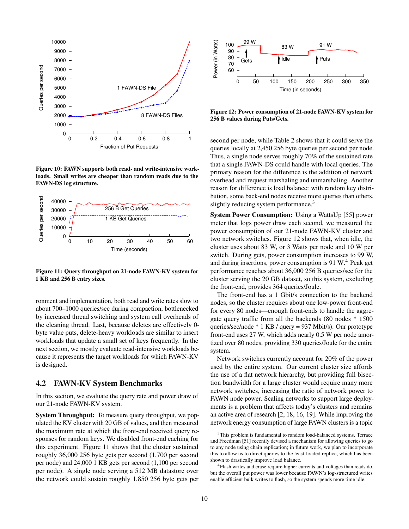

<span id="page-9-0"></span>Figure 10: FAWN supports both read- and write-intensive workloads. Small writes are cheaper than random reads due to the FAWN-DS log structure.



<span id="page-9-1"></span>Figure 11: Query throughput on 21-node FAWN-KV system for 1 KB and 256 B entry sizes.

ronment and implementation, both read and write rates slow to about 700–1000 queries/sec during compaction, bottlenecked by increased thread switching and system call overheads of the cleaning thread. Last, because deletes are effectively 0 byte value puts, delete-heavy workloads are similar to insert workloads that update a small set of keys frequently. In the next section, we mostly evaluate read-intensive workloads because it represents the target workloads for which FAWN-KV is designed.

### 4.2 FAWN-KV System Benchmarks

In this section, we evaluate the query rate and power draw of our 21-node FAWN-KV system.

System Throughput: To measure query throughput, we populated the KV cluster with 20 GB of values, and then measured the maximum rate at which the front-end received query responses for random keys. We disabled front-end caching for this experiment. Figure [11](#page-9-1) shows that the cluster sustained roughly 36,000 256 byte gets per second (1,700 per second per node) and 24,000 1 KB gets per second (1,100 per second per node). A single node serving a 512 MB datastore over the network could sustain roughly 1,850 256 byte gets per



<span id="page-9-3"></span>Figure 12: Power consumption of 21-node FAWN-KV system for 256 B values during Puts/Gets.

second per node, while Table [2](#page-7-3) shows that it could serve the queries locally at 2,450 256 byte queries per second per node. Thus, a single node serves roughly 70% of the sustained rate that a single FAWN-DS could handle with local queries. The primary reason for the difference is the addition of network overhead and request marshaling and unmarshaling. Another reason for difference is load balance: with random key distribution, some back-end nodes receive more queries than others, slightly reducing system performance.<sup>[3](#page-9-2)</sup>

System Power Consumption: Using a WattsUp [\[55\]](#page-16-10) power meter that logs power draw each second, we measured the power consumption of our 21-node FAWN-KV cluster and two network switches. Figure [12](#page-9-3) shows that, when idle, the cluster uses about 83 W, or 3 Watts per node and 10 W per switch. During gets, power consumption increases to 99 W, and during insertions, power consumption is 91 W.[4](#page-9-4) Peak get performance reaches about 36,000 256 B queries/sec for the cluster serving the 20 GB dataset, so this system, excluding the front-end, provides 364 queries/Joule.

The front-end has a 1 Gbit/s connection to the backend nodes, so the cluster requires about one low-power front-end for every 80 nodes—enough front-ends to handle the aggregate query traffic from all the backends (80 nodes \* 1500 queries/sec/node \* 1 KB / query = 937 Mbit/s). Our prototype front-end uses 27 W, which adds nearly 0.5 W per node amortized over 80 nodes, providing 330 queries/Joule for the entire system.

Network switches currently account for 20% of the power used by the entire system. Our current cluster size affords the use of a flat network hierarchy, but providing full bisection bandwidth for a large cluster would require many more network switches, increasing the ratio of network power to FAWN node power. Scaling networks to support large deployments is a problem that affects today's clusters and remains an active area of research [\[2,](#page-15-15) [18,](#page-15-16) [16,](#page-15-17) [19\]](#page-15-18). While improving the network energy consumption of large FAWN clusters is a topic

<span id="page-9-2"></span><sup>&</sup>lt;sup>3</sup>This problem is fundamental to random load-balanced systems. Terrace and Freedman [\[51\]](#page-16-11) recently devised a mechanism for allowing queries to go to any node using chain replication; in future work, we plan to incorporate this to allow us to direct queries to the least-loaded replica, which has been shown to drastically improve load balance.

<span id="page-9-4"></span><sup>4</sup>Flash writes and erase require higher currents and voltages than reads do, but the overall put power was lower because FAWN's log-structured writes enable efficient bulk writes to flash, so the system spends more time idle.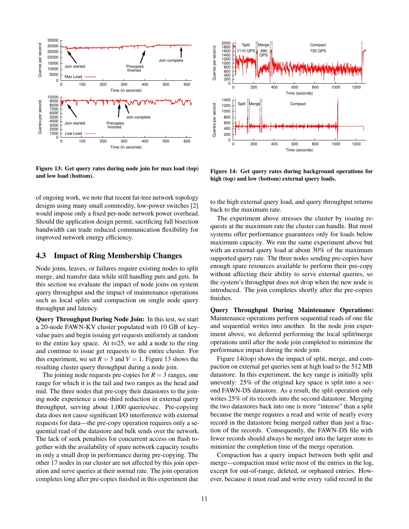

<span id="page-10-1"></span>Figure 13: Get query rates during node join for max load (top) and low load (bottom).

of ongoing work, we note that recent fat-tree network topology designs using many small commodity, low-power switches [\[2\]](#page-15-15) would impose only a fixed per-node network power overhead. Should the application design permit, sacrificing full bisection bandwidth can trade reduced communication flexibility for improved network energy efficiency.

### <span id="page-10-0"></span>4.3 Impact of Ring Membership Changes

Node joins, leaves, or failures require existing nodes to split merge, and transfer data while still handling puts and gets. In this section we evaluate the impact of node joins on system query throughput and the impact of maintenance operations such as local splits and compaction on single node query throughput and latency.

Query Throughput During Node Join: In this test, we start a 20-node FAWN-KV cluster populated with 10 GB of keyvalue pairs and begin issuing get requests uniformly at random to the entire key space. At t=25, we add a node to the ring and continue to issue get requests to the entire cluster. For this experiment, we set  $R = 3$  and  $V = 1$ . Figure [13](#page-10-1) shows the resulting cluster query throughput during a node join.

The joining node requests pre-copies for  $R = 3$  ranges, one range for which it is the tail and two ranges as the head and mid. The three nodes that pre-copy their datastores to the joining node experience a one-third reduction in external query throughput, serving about 1,000 queries/sec. Pre-copying data does not cause significant I/O interference with external requests for data—the pre-copy operation requires only a sequential read of the datastore and bulk sends over the network. The lack of seek penalties for concurrent access on flash together with the availability of spare network capacity results in only a small drop in performance during pre-copying. The other 17 nodes in our cluster are not affected by this join operation and serve queries at their normal rate. The join operation completes long after pre-copies finished in this experiment due



<span id="page-10-2"></span>Figure 14: Get query rates during background operations for high (top) and low (bottom) external query loads.

to the high external query load, and query throughput returns back to the maximum rate.

The experiment above stresses the cluster by issuing requests at the maximum rate the cluster can handle. But most systems offer performance guarantees only for loads below maximum capacity. We run the same experiment above but with an external query load at about 30% of the maximum supported query rate. The three nodes sending pre-copies have enough spare resources available to perform their pre-copy without affecting their ability to serve external queries, so the system's throughput does not drop when the new node is introduced. The join completes shortly after the pre-copies finishes.

Query Throughput During Maintenance Operations: Maintenance operations perform sequential reads of one file and sequential writes into another. In the node join experiment above, we deferred performing the local split/merge operations until after the node join completed to minimize the performance impact during the node join.

Figure [14\(](#page-10-2)top) shows the impact of split, merge, and compaction on external get queries sent at high load to the 512 MB datastore. In this experiment, the key range is initially split unevenly: 25% of the original key space is split into a second FAWN-DS datastore. As a result, the split operation only writes 25% of its records into the second datastore. Merging the two datastores back into one is more "intense" than a split because the merge requires a read and write of nearly every record in the datastore being merged rather than just a fraction of the records. Consequently, the FAWN-DS file with fewer records should always be merged into the larger store to minimize the completion time of the merge operation.

Compaction has a query impact between both split and merge—compaction must write most of the entries in the log, except for out-of-range, deleted, or orphaned entries. However, because it must read and write every valid record in the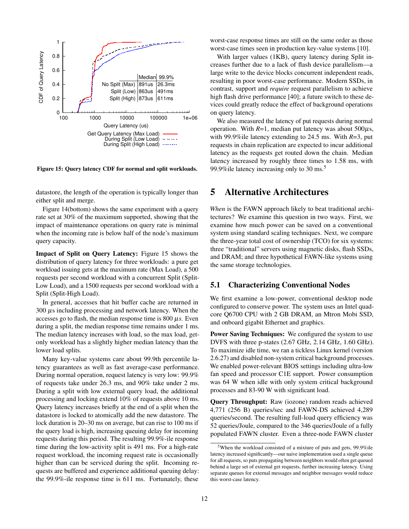

<span id="page-11-1"></span>Figure 15: Query latency CDF for normal and split workloads.

datastore, the length of the operation is typically longer than either split and merge.

Figure [14\(](#page-10-2)bottom) shows the same experiment with a query rate set at 30% of the maximum supported, showing that the impact of maintenance operations on query rate is minimal when the incoming rate is below half of the node's maximum query capacity.

Impact of Split on Query Latency: Figure [15](#page-11-1) shows the distribution of query latency for three workloads: a pure get workload issuing gets at the maximum rate (Max Load), a 500 requests per second workload with a concurrent Split (Split-Low Load), and a 1500 requests per second workload with a Split (Split-High Load).

In general, accesses that hit buffer cache are returned in 300 µs including processing and network latency. When the accesses go to flash, the median response time is  $800 \mu s$ . Even during a split, the median response time remains under 1 ms. The median latency increases with load, so the max load, getonly workload has a slightly higher median latency than the lower load splits.

Many key-value systems care about 99.9th percentile latency guarantees as well as fast average-case performance. During normal operation, request latency is very low: 99.9% of requests take under 26.3 ms, and 90% take under 2 ms. During a split with low external query load, the additional processing and locking extend 10% of requests above 10 ms. Query latency increases briefly at the end of a split when the datastore is locked to atomically add the new datastore. The lock duration is 20–30 ms on average, but can rise to 100 ms if the query load is high, increasing queuing delay for incoming requests during this period. The resulting 99.9%-ile response time during the low-activity split is 491 ms. For a high-rate request workload, the incoming request rate is occasionally higher than can be serviced during the split. Incoming requests are buffered and experience additional queuing delay: the 99.9%-ile response time is 611 ms. Fortunately, these

worst-case response times are still on the same order as those worst-case times seen in production key-value systems [\[10\]](#page-15-0).

With larger values (1KB), query latency during Split increases further due to a lack of flash device parallelism—a large write to the device blocks concurrent independent reads, resulting in poor worst-case performance. Modern SSDs, in contrast, support and *require* request parallelism to achieve high flash drive performance [\[40\]](#page-16-5); a future switch to these devices could greatly reduce the effect of background operations on query latency.

We also measured the latency of put requests during normal operation. With  $R=1$ , median put latency was about  $500\mu s$ , with 99.9%ile latency extending to 24.5 ms. With *R*=3, put requests in chain replication are expected to incur additional latency as the requests get routed down the chain. Median latency increased by roughly three times to 1.58 ms, with 99.9% ile latency increasing only to  $30 \text{ ms}$ <sup>[5](#page-11-2)</sup>

## <span id="page-11-0"></span>5 Alternative Architectures

*When* is the FAWN approach likely to beat traditional architectures? We examine this question in two ways. First, we examine how much power can be saved on a conventional system using standard scaling techniques. Next, we compare the three-year total cost of ownership (TCO) for six systems: three "traditional" servers using magnetic disks, flash SSDs, and DRAM; and three hypothetical FAWN-like systems using the same storage technologies.

### 5.1 Characterizing Conventional Nodes

We first examine a low-power, conventional desktop node configured to conserve power. The system uses an Intel quadcore Q6700 CPU with 2 GB DRAM, an Mtron Mobi SSD, and onboard gigabit Ethernet and graphics.

Power Saving Techniques: We configured the system to use DVFS with three p-states (2.67 GHz, 2.14 GHz, 1.60 GHz). To maximize idle time, we ran a tickless Linux kernel (version 2.6.27) and disabled non-system critical background processes. We enabled power-relevant BIOS settings including ultra-low fan speed and processor C1E support. Power consumption was 64 W when idle with only system critical background processes and 83-90 W with significant load.

Query Throughput: Raw (iozone) random reads achieved 4,771 (256 B) queries/sec and FAWN-DS achieved 4,289 queries/second. The resulting full-load query efficiency was 52 queries/Joule, compared to the 346 queries/Joule of a fully populated FAWN cluster. Even a three-node FAWN cluster

<span id="page-11-2"></span><sup>5</sup>When the workload consisted of a mixture of puts and gets, 99.9%ile latency increased significantly—our naive implementation used a single queue for all requests, so puts propagating between neighbors would often get queued behind a large set of external get requests, further increasing latency. Using separate queues for external messages and neighbor messages would reduce this worst-case latency.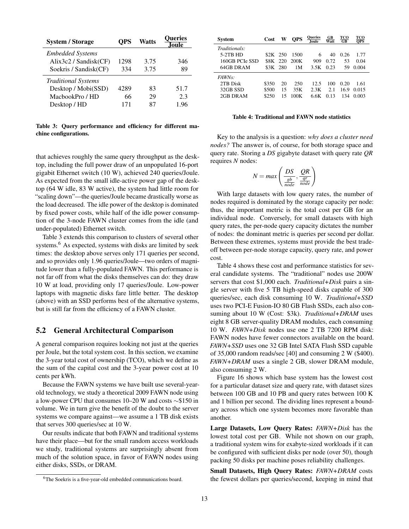| OPS  | Watts | <b>Oueries</b><br><b>Joule</b> |  |
|------|-------|--------------------------------|--|
|      |       |                                |  |
| 1298 | 3.75  | 346                            |  |
| 334  | 3.75  | 89                             |  |
|      |       |                                |  |
| 4289 | 83    | 51.7                           |  |
| 66   | 29    | 2.3                            |  |
| 171  | 87    | 1.96                           |  |
|      |       |                                |  |

<span id="page-12-0"></span>Table 3: Query performance and efficiency for different machine configurations.

that achieves roughly the same query throughput as the desktop, including the full power draw of an unpopulated 16-port gigabit Ethernet switch (10 W), achieved 240 queries/Joule. As expected from the small idle-active power gap of the desktop (64 W idle, 83 W active), the system had little room for "scaling down"—the queries/Joule became drastically worse as the load decreased. The idle power of the desktop is dominated by fixed power costs, while half of the idle power consumption of the 3-node FAWN cluster comes from the idle (and under-populated) Ethernet switch.

Table [3](#page-12-0) extends this comparison to clusters of several other systems.<sup>[6](#page-12-1)</sup> As expected, systems with disks are limited by seek times: the desktop above serves only 171 queries per second, and so provides only 1.96 queries/Joule—two orders of magnitude lower than a fully-populated FAWN. This performance is not far off from what the disks themselves can do: they draw 10 W at load, providing only 17 queries/Joule. Low-power laptops with magnetic disks fare little better. The desktop (above) with an SSD performs best of the alternative systems, but is still far from the efficiency of a FAWN cluster.

### 5.2 General Architectural Comparison

A general comparison requires looking not just at the queries per Joule, but the total system cost. In this section, we examine the 3-year total cost of ownership (TCO), which we define as the sum of the capital cost and the 3-year power cost at 10 cents per kWh.

Because the FAWN systems we have built use several-yearold technology, we study a theoretical 2009 FAWN node using a low-power CPU that consumes 10–20 W and costs ∼\$150 in volume. We in turn give the benefit of the doubt to the server systems we compare against—we assume a 1 TB disk exists that serves 300 queries/sec at 10 W.

Our results indicate that both FAWN and traditional systems have their place—but for the small random access workloads we study, traditional systems are surprisingly absent from much of the solution space, in favor of FAWN nodes using either disks, SSDs, or DRAM.

| System         | Cost    | W   | OPS  | Queries<br><b>Joule</b> | GВ<br>Watt | TCO<br>$G$ <b>B</b> | тсо<br><b>OPS</b> |
|----------------|---------|-----|------|-------------------------|------------|---------------------|-------------------|
| Traditionals:  |         |     |      |                         |            |                     |                   |
| $5-2TB$ HD     | S2K 250 |     | 1500 | 6                       | 40         | 0.26                | 1.77              |
| 160GB PCIe SSD | 88K -   | 220 | 200K | 909                     | 0.72       | 53                  | 0.04              |
| 64GB DRAM      | 83K     | 280 | 1М   | 3.5K                    | 0.23       | 59                  | 0.004             |
| <i>FAWNs:</i>  |         |     |      |                         |            |                     |                   |
| 2TB Disk       | \$350   | 20  | 250  | 12.5                    | 100        | 0.20                | 1.61              |
| 32GB SSD       | \$500   | 15  | 35K  | 2.3K                    | 2.1        | 16.9                | 0.015             |
| 2GB DRAM       | \$250   | 15  | 100K | 6.6K                    | 0.13       | 134                 | 0.003             |

#### <span id="page-12-2"></span>Table 4: Traditional and FAWN node statistics

Key to the analysis is a question: *why does a cluster need nodes?* The answer is, of course, for both storage space and query rate. Storing a *DS* gigabyte dataset with query rate *QR* requires *N* nodes:

$$
N = \max\left(\frac{DS}{\frac{gb}{node}}, \frac{QR}{\frac{qr}{node}}\right)
$$

With large datasets with low query rates, the number of nodes required is dominated by the storage capacity per node: thus, the important metric is the total cost per GB for an individual node. Conversely, for small datasets with high query rates, the per-node query capacity dictates the number of nodes: the dominant metric is queries per second per dollar. Between these extremes, systems must provide the best tradeoff between per-node storage capacity, query rate, and power cost.

Table [4](#page-12-2) shows these cost and performance statistics for several candidate systems. The "traditional" nodes use 200W servers that cost \$1,000 each. *Traditional+Disk* pairs a single server with five 5 TB high-speed disks capable of 300 queries/sec, each disk consuming 10 W. *Traditional+SSD* uses two PCI-E Fusion-IO 80 GB Flash SSDs, each also consuming about 10 W (Cost: \$3k). *Traditional+DRAM* uses eight 8 GB server-quality DRAM modules, each consuming 10 W. *FAWN+Disk* nodes use one 2 TB 7200 RPM disk: FAWN nodes have fewer connectors available on the board. *FAWN+SSD* uses one 32 GB Intel SATA Flash SSD capable of 35,000 random reads/sec [\[40\]](#page-16-5) and consuming 2 W (\$400). *FAWN+DRAM* uses a single 2 GB, slower DRAM module, also consuming 2 W.

Figure [16](#page-13-0) shows which base system has the lowest cost for a particular dataset size and query rate, with dataset sizes between 100 GB and 10 PB and query rates between 100 K and 1 billion per second. The dividing lines represent a boundary across which one system becomes more favorable than another.

Large Datasets, Low Query Rates: *FAWN+Disk* has the lowest total cost per GB. While not shown on our graph, a traditional system wins for exabyte-sized workloads if it can be configured with sufficient disks per node (over 50), though packing 50 disks per machine poses reliability challenges.

Small Datasets, High Query Rates: *FAWN+DRAM* costs the fewest dollars per queries/second, keeping in mind that

<span id="page-12-1"></span><sup>&</sup>lt;sup>6</sup>The Soekris is a five-year-old embedded communications board.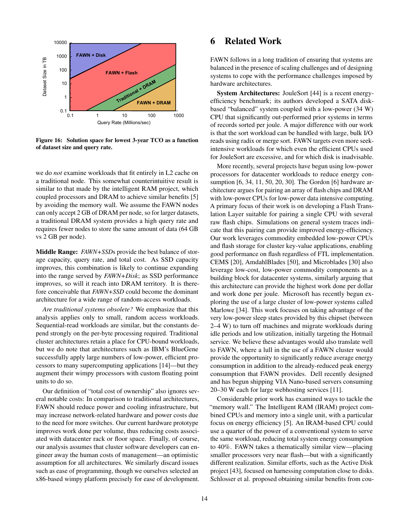

Figure 16: Solution space for lowest 3-year TCO as a function of dataset size and query rate.

we do *not* examine workloads that fit entirely in L2 cache on a traditional node. This somewhat counterintuitive result is similar to that made by the intelligent RAM project, which coupled processors and DRAM to achieve similar benefits [\[5\]](#page-15-19) by avoiding the memory wall. We assume the FAWN nodes can only accept 2 GB of DRAM per node, so for larger datasets, a traditional DRAM system provides a high query rate and requires fewer nodes to store the same amount of data (64 GB vs 2 GB per node).

Middle Range: *FAWN+SSD*s provide the best balance of storage capacity, query rate, and total cost. As SSD capacity improves, this combination is likely to continue expanding into the range served by *FAWN+Disk*; as SSD performance improves, so will it reach into DRAM territory. It is therefore conceivable that *FAWN+SSD* could become the dominant architecture for a wide range of random-access workloads.

*Are traditional systems obsolete?* We emphasize that this analysis applies only to small, random access workloads. Sequential-read workloads are similar, but the constants depend strongly on the per-byte processing required. Traditional cluster architectures retain a place for CPU-bound workloads, but we do note that architectures such as IBM's BlueGene successfully apply large numbers of low-power, efficient processors to many supercomputing applications [\[14\]](#page-15-20)—but they augment their wimpy processors with custom floating point units to do so.

Our definition of "total cost of ownership" also ignores several notable costs: In comparison to traditional architectures, FAWN should reduce power and cooling infrastructure, but may increase network-related hardware and power costs due to the need for more switches. Our current hardware prototype improves work done per volume, thus reducing costs associated with datacenter rack or floor space. Finally, of course, our analysis assumes that cluster software developers can engineer away the human costs of management—an optimistic assumption for all architectures. We similarly discard issues such as ease of programming, though we ourselves selected an x86-based wimpy platform precisely for ease of development.

## 6 Related Work

FAWN follows in a long tradition of ensuring that systems are balanced in the presence of scaling challenges and of designing systems to cope with the performance challenges imposed by hardware architectures.

<span id="page-13-0"></span>System Architectures: JouleSort [\[44\]](#page-16-12) is a recent energyefficiency benchmark; its authors developed a SATA diskbased "balanced" system coupled with a low-power (34 W) CPU that significantly out-performed prior systems in terms of records sorted per joule. A major difference with our work is that the sort workload can be handled with large, bulk I/O reads using radix or merge sort. FAWN targets even more seekintensive workloads for which even the efficient CPUs used for JouleSort are excessive, and for which disk is inadvisable.

More recently, several projects have begun using low-power processors for datacenter workloads to reduce energy consumption [\[6,](#page-15-21) [34,](#page-15-22) [11,](#page-15-23) [50,](#page-16-13) [20,](#page-15-24) [30\]](#page-15-25). The Gordon [\[6\]](#page-15-21) hardware architecture argues for pairing an array of flash chips and DRAM with low-power CPUs for low-power data intensive computing. A primary focus of their work is on developing a Flash Translation Layer suitable for pairing a single CPU with several raw flash chips. Simulations on general system traces indicate that this pairing can provide improved energy-efficiency. Our work leverages commodity embedded low-power CPUs and flash storage for cluster key-value applications, enabling good performance on flash regardless of FTL implementation. CEMS [\[20\]](#page-15-24), AmdahlBlades [\[50\]](#page-16-13), and Microblades [\[30\]](#page-15-25) also leverage low-cost, low-power commodity components as a building block for datacenter systems, similarly arguing that this architecture can provide the highest work done per dollar and work done per joule. Microsoft has recently begun exploring the use of a large cluster of low-power systems called Marlowe [\[34\]](#page-15-22). This work focuses on taking advantage of the very low-power sleep states provided by this chipset (between 2–4 W) to turn off machines and migrate workloads during idle periods and low utilization, initially targeting the Hotmail service. We believe these advantages would also translate well to FAWN, where a lull in the use of a FAWN cluster would provide the opportunity to significantly reduce average energy consumption in addition to the already-reduced peak energy consumption that FAWN provides. Dell recently designed and has begun shipping VIA Nano-based servers consuming 20–30 W each for large webhosting services [\[11\]](#page-15-23).

Considerable prior work has examined ways to tackle the "memory wall." The Intelligent RAM (IRAM) project combined CPUs and memory into a single unit, with a particular focus on energy efficiency [\[5\]](#page-15-19). An IRAM-based CPU could use a quarter of the power of a conventional system to serve the same workload, reducing total system energy consumption to 40%. FAWN takes a thematically similar view—placing smaller processors very near flash—but with a significantly different realization. Similar efforts, such as the Active Disk project [\[43\]](#page-16-14), focused on harnessing computation close to disks. Schlosser et al. proposed obtaining similar benefits from cou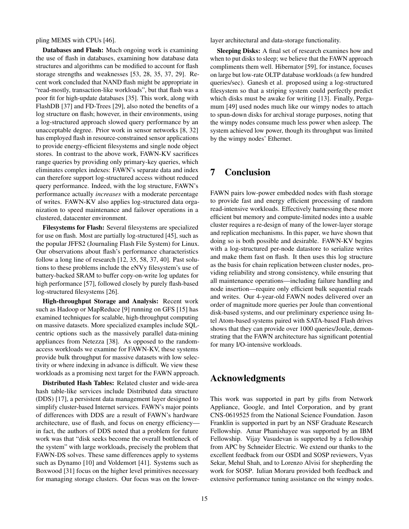pling MEMS with CPUs [\[46\]](#page-16-15).

Databases and Flash: Much ongoing work is examining the use of flash in databases, examining how database data structures and algorithms can be modified to account for flash storage strengths and weaknesses [\[53,](#page-16-16) [28,](#page-15-26) [35,](#page-15-6) [37,](#page-16-6) [29\]](#page-15-27). Recent work concluded that NAND flash might be appropriate in "read-mostly, transaction-like workloads", but that flash was a poor fit for high-update databases [\[35\]](#page-15-6). This work, along with FlashDB [\[37\]](#page-16-6) and FD-Trees [\[29\]](#page-15-27), also noted the benefits of a log structure on flash; however, in their environments, using a log-structured approach slowed query performance by an unacceptable degree. Prior work in sensor networks [\[8,](#page-15-28) [32\]](#page-15-29) has employed flash in resource-constrained sensor applications to provide energy-efficient filesystems and single node object stores. In contrast to the above work, FAWN-KV sacrifices range queries by providing only primary-key queries, which eliminates complex indexes: FAWN's separate data and index can therefore support log-structured access without reduced query performance. Indeed, with the log structure, FAWN's performance actually *increases* with a moderate percentage of writes. FAWN-KV also applies log-structured data organization to speed maintenance and failover operations in a clustered, datacenter environment.

Filesystems for Flash: Several filesystems are specialized for use on flash. Most are partially log-structured [\[45\]](#page-16-17), such as the popular JFFS2 (Journaling Flash File System) for Linux. Our observations about flash's performance characteristics follow a long line of research [\[12,](#page-15-30) [35,](#page-15-6) [58,](#page-16-18) [37,](#page-16-6) [40\]](#page-16-5). Past solutions to these problems include the eNVy filesystem's use of battery-backed SRAM to buffer copy-on-write log updates for high performance [\[57\]](#page-16-19), followed closely by purely flash-based log-structured filesystems [\[26\]](#page-15-31).

High-throughput Storage and Analysis: Recent work such as Hadoop or MapReduce [\[9\]](#page-15-32) running on GFS [\[15\]](#page-15-9) has examined techniques for scalable, high-throughput computing on massive datasets. More specialized examples include SQLcentric options such as the massively parallel data-mining appliances from Netezza [\[38\]](#page-16-20). As opposed to the randomaccess workloads we examine for FAWN-KV, these systems provide bulk throughput for massive datasets with low selectivity or where indexing in advance is difficult. We view these workloads as a promising next target for the FAWN approach.

Distributed Hash Tables: Related cluster and wide-area hash table-like services include Distributed data structure (DDS) [\[17\]](#page-15-33), a persistent data management layer designed to simplify cluster-based Internet services. FAWN's major points of differences with DDS are a result of FAWN's hardware architecture, use of flash, and focus on energy efficiency in fact, the authors of DDS noted that a problem for future work was that "disk seeks become the overall bottleneck of the system" with large workloads, precisely the problem that FAWN-DS solves. These same differences apply to systems such as Dynamo [\[10\]](#page-15-0) and Voldemort [\[41\]](#page-16-0). Systems such as Boxwood [\[31\]](#page-15-34) focus on the higher level primitives necessary for managing storage clusters. Our focus was on the lowerlayer architectural and data-storage functionality.

Sleeping Disks: A final set of research examines how and when to put disks to sleep; we believe that the FAWN approach compliments them well. Hibernator [\[59\]](#page-16-21), for instance, focuses on large but low-rate OLTP database workloads (a few hundred queries/sec). Ganesh et al. proposed using a log-structured filesystem so that a striping system could perfectly predict which disks must be awake for writing [\[13\]](#page-15-35). Finally, Pergamum [\[49\]](#page-16-22) used nodes much like our wimpy nodes to attach to spun-down disks for archival storage purposes, noting that the wimpy nodes consume much less power when asleep. The system achieved low power, though its throughput was limited by the wimpy nodes' Ethernet.

## 7 Conclusion

FAWN pairs low-power embedded nodes with flash storage to provide fast and energy efficient processing of random read-intensive workloads. Effectively harnessing these more efficient but memory and compute-limited nodes into a usable cluster requires a re-design of many of the lower-layer storage and replication mechanisms. In this paper, we have shown that doing so is both possible and desirable. FAWN-KV begins with a log-structured per-node datastore to serialize writes and make them fast on flash. It then uses this log structure as the basis for chain replication between cluster nodes, providing reliability and strong consistency, while ensuring that all maintenance operations—including failure handling and node insertion—require only efficient bulk sequential reads and writes. Our 4-year-old FAWN nodes delivered over an order of magnitude more queries per Joule than conventional disk-based systems, and our preliminary experience using Intel Atom-based systems paired with SATA-based Flash drives shows that they can provide over 1000 queries/Joule, demonstrating that the FAWN architecture has significant potential for many I/O-intensive workloads.

## Acknowledgments

This work was supported in part by gifts from Network Appliance, Google, and Intel Corporation, and by grant CNS-0619525 from the National Science Foundation. Jason Franklin is supported in part by an NSF Graduate Research Fellowship. Amar Phanishayee was supported by an IBM Fellowship. Vijay Vasudevan is supported by a fellowship from APC by Schneider Electric. We extend our thanks to the excellent feedback from our OSDI and SOSP reviewers, Vyas Sekar, Mehul Shah, and to Lorenzo Alvisi for shepherding the work for SOSP. Iulian Moraru provided both feedback and extensive performance tuning assistance on the wimpy nodes.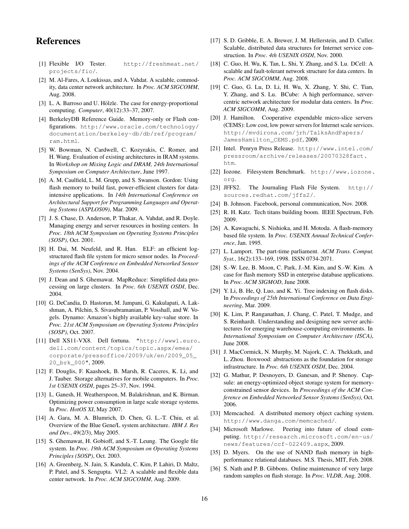## **References**

- <span id="page-15-12"></span>[1] Flexible I/O Tester. [http://freshmeat.net/](http://freshmeat.net/projects/fio/) [projects/fio/](http://freshmeat.net/projects/fio/).
- <span id="page-15-15"></span>[2] M. Al-Fares, A. Loukissas, and A. Vahdat. A scalable, commodity, data center network architecture. In *Proc. ACM SIGCOMM*, Aug. 2008.
- <span id="page-15-4"></span>[3] L. A. Barroso and U. Hölzle. The case for energy-proportional computing. *Computer*, 40(12):33–37, 2007.
- <span id="page-15-13"></span>[4] BerkeleyDB Reference Guide. Memory-only or Flash configurations. [http://www.oracle.com/technology/](http://www.oracle.com/technology/documentation/berkeley-db/db/ref/program/ram.html) [documentation/berkeley-db/db/ref/program/](http://www.oracle.com/technology/documentation/berkeley-db/db/ref/program/ram.html) [ram.html](http://www.oracle.com/technology/documentation/berkeley-db/db/ref/program/ram.html).
- <span id="page-15-19"></span>[5] W. Bowman, N. Cardwell, C. Kozyrakis, C. Romer, and H. Wang. Evaluation of existing architectures in IRAM systems. In *Workshop on Mixing Logic and DRAM, 24th International Symposium on Computer Architecture*, June 1997.
- <span id="page-15-21"></span>[6] A. M. Caulfield, L. M. Grupp, and S. Swanson. Gordon: Using flash memory to build fast, power-efficient clusters for dataintensive applications. In *14th International Conference on Architectural Support for Programming Languages and Operating Systems (ASPLOS09)*, Mar. 2009.
- <span id="page-15-5"></span>[7] J. S. Chase, D. Anderson, P. Thakar, A. Vahdat, and R. Doyle. Managing energy and server resources in hosting centers. In *Proc. 18th ACM Symposium on Operating Systems Principles (SOSP)*, Oct. 2001.
- <span id="page-15-28"></span>[8] H. Dai, M. Neufeld, and R. Han. ELF: an efficient logstructured flash file system for micro sensor nodes. In *Proceedings of the ACM Conference on Embedded Networked Sensor Systems (SenSys)*, Nov. 2004.
- <span id="page-15-32"></span>[9] J. Dean and S. Ghemawat. MapReduce: Simplified data processing on large clusters. In *Proc. 6th USENIX OSDI*, Dec. 2004.
- <span id="page-15-0"></span>[10] G. DeCandia, D. Hastorun, M. Jampani, G. Kakulapati, A. Lakshman, A. Pilchin, S. Sivasubramanian, P. Vosshall, and W. Vogels. Dynamo: Amazon's highly available key-value store. In *Proc. 21st ACM Symposium on Operating Systems Principles (SOSP)*, Oct. 2007.
- <span id="page-15-23"></span>[11] Dell XS11-VX8. Dell fortuna. ["http://www1.euro.]("http://www1.euro.dell.com/content/topics/topic.aspx/emea/corporate/pressoffice/2009/uk/en/2009_05_20_brk_000") [dell.com/content/topics/topic.aspx/emea/]("http://www1.euro.dell.com/content/topics/topic.aspx/emea/corporate/pressoffice/2009/uk/en/2009_05_20_brk_000") [corporate/pressoffice/2009/uk/en/2009\\_05\\_]("http://www1.euro.dell.com/content/topics/topic.aspx/emea/corporate/pressoffice/2009/uk/en/2009_05_20_brk_000") [20\\_brk\\_000"]("http://www1.euro.dell.com/content/topics/topic.aspx/emea/corporate/pressoffice/2009/uk/en/2009_05_20_brk_000"), 2009.
- <span id="page-15-30"></span>[12] F. Douglis, F. Kaashoek, B. Marsh, R. Caceres, K. Li, and J. Tauber. Storage alternatives for mobile computers. In *Proc. 1st USENIX OSDI*, pages 25–37, Nov. 1994.
- <span id="page-15-35"></span>[13] L. Ganesh, H. Weatherspoon, M. Balakrishnan, and K. Birman. Optimizing power consumption in large scale storage systems. In *Proc. HotOS XI*, May 2007.
- <span id="page-15-20"></span>[14] A. Gara, M. A. Blumrich, D. Chen, G. L.-T. Chiu, et al. Overview of the Blue Gene/L system architecture. *IBM J. Res and Dev.*, 49(2/3), May 2005.
- <span id="page-15-9"></span>[15] S. Ghemawat, H. Gobioff, and S.-T. Leung. The Google file system. In *Proc. 19th ACM Symposium on Operating Systems Principles (SOSP)*, Oct. 2003.
- <span id="page-15-17"></span>[16] A. Greenberg, N. Jain, S. Kandula, C. Kim, P. Lahiri, D. Maltz, P. Patel, and S. Sengupta. VL2: A scalable and flexible data center network. In *Proc. ACM SIGCOMM*, Aug. 2009.
- <span id="page-15-33"></span>[17] S. D. Gribble, E. A. Brewer, J. M. Hellerstein, and D. Culler. Scalable, distributed data structures for Internet service construction. In *Proc. 4th USENIX OSDI*, Nov. 2000.
- <span id="page-15-16"></span>[18] C. Guo, H. Wu, K. Tan, L. Shi, Y. Zhang, and S. Lu. DCell: A scalable and fault-tolerant network structure for data centers. In *Proc. ACM SIGCOMM*, Aug. 2008.
- <span id="page-15-18"></span>[19] C. Guo, G. Lu, D. Li, H. Wu, X. Zhang, Y. Shi, C. Tian, Y. Zhang, and S. Lu. BCube: A high performance, servercentric network architecture for modular data centers. In *Proc. ACM SIGCOMM*, Aug. 2009.
- <span id="page-15-24"></span>[20] J. Hamilton. Cooperative expendable micro-slice servers (CEMS): Low cost, low power servers for Internet scale services. [http://mvdirona.com/jrh/TalksAndPapers/](http://mvdirona.com/jrh/TalksAndPapers/JamesHamilton_CEMS.pdf) [JamesHamilton\\_CEMS.pdf](http://mvdirona.com/jrh/TalksAndPapers/JamesHamilton_CEMS.pdf), 2009.
- <span id="page-15-3"></span>[21] Intel. Penryn Press Release. [http://www.intel.com/](http://www.intel.com/pressroom/archive/releases/20070328fact.htm) [pressroom/archive/releases/20070328fact.](http://www.intel.com/pressroom/archive/releases/20070328fact.htm) [htm](http://www.intel.com/pressroom/archive/releases/20070328fact.htm).
- <span id="page-15-11"></span>[22] Iozone. Filesystem Benchmark. [http://www.iozone.](http://www.iozone.org) [org](http://www.iozone.org).
- <span id="page-15-8"></span>[23] JFFS2. The Journaling Flash File System. [http://](http://sources.redhat.com/jffs2/) [sources.redhat.com/jffs2/](http://sources.redhat.com/jffs2/).
- <span id="page-15-14"></span>[24] B. Johnson. Facebook, personal communication, Nov. 2008.
- <span id="page-15-2"></span>[25] R. H. Katz. Tech titans building boom. IEEE Spectrum, Feb. 2009.
- <span id="page-15-31"></span>[26] A. Kawaguchi, S. Nishioka, and H. Motoda. A flash-memory based file system. In *Proc. USENIX Annual Technical Conference*, Jan. 1995.
- <span id="page-15-10"></span>[27] L. Lamport. The part-time parliament. *ACM Trans. Comput. Syst.*, 16(2):133–169, 1998. ISSN 0734-2071.
- <span id="page-15-26"></span>[28] S.-W. Lee, B. Moon, C. Park, J.-M. Kim, and S.-W. Kim. A case for flash memory SSD in enterprise database applications. In *Proc. ACM SIGMOD*, June 2008.
- <span id="page-15-27"></span>[29] Y. Li, B. He, Q. Luo, and K. Yi. Tree indexing on flash disks. In *Proceedings of 25th International Conference on Data Engineering*, Mar. 2009.
- <span id="page-15-25"></span>[30] K. Lim, P. Ranganathan, J. Chang, C. Patel, T. Mudge, and S. Reinhardt. Understanding and designing new server architectures for emerging warehouse-computing environments. In *International Symposium on Computer Architecture (ISCA)*, June 2008.
- <span id="page-15-34"></span>[31] J. MacCormick, N. Murphy, M. Najork, C. A. Thekkath, and L. Zhou. Boxwood: abstractions as the foundation for storage infrastructure. In *Proc. 6th USENIX OSDI*, Dec. 2004.
- <span id="page-15-29"></span>[32] G. Mathur, P. Desnoyers, D. Ganesan, and P. Shenoy. Capsule: an energy-optimized object storage system for memoryconstrained sensor devices. In *Proceedings of the ACM Conference on Embedded Networked Sensor Systems (SenSys)*, Oct. 2006.
- <span id="page-15-1"></span>[33] Memcached. A distributed memory object caching system. <http://www.danga.com/memcached/>.
- <span id="page-15-22"></span>[34] Microsoft Marlowe. Peering into future of cloud computing. [http://research.microsoft.com/en-us/](http://research.microsoft.com/en-us/news/features/ccf-022409.aspx) [news/features/ccf-022409.aspx](http://research.microsoft.com/en-us/news/features/ccf-022409.aspx), 2009.
- <span id="page-15-6"></span>[35] D. Myers. On the use of NAND flash memory in highperformance relational databases. M.S. Thesis, MIT, Feb. 2008.
- <span id="page-15-7"></span>[36] S. Nath and P. B. Gibbons. Online maintenance of very large random samples on flash storage. In *Proc. VLDB*, Aug. 2008.